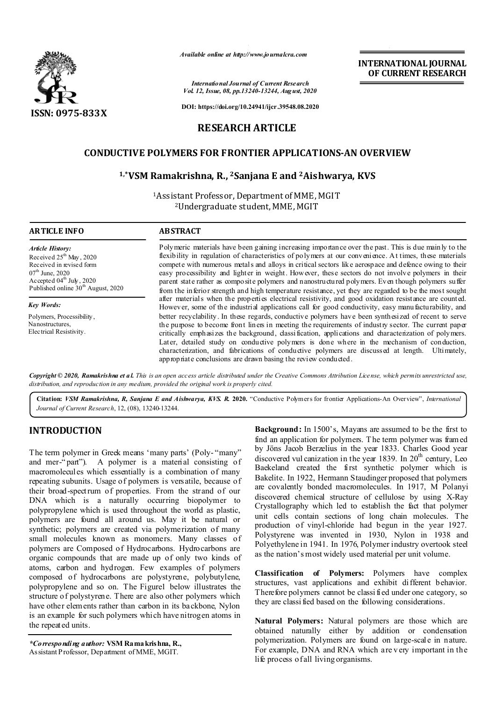

*Available online at http://www.journalcra.com*

*International Journal of Current Research Vol. 12, Issue, 08, pp.13240-13244, August, 2020* **INTERNATIONAL JOURNAL OF CURRENT RESEARCH**

**DOI: https://doi.org/10.24941/ijcr.39548.08.2020**

## **RESEARCH ARTICLE**

## **CONDUCTIVE POLYMERS FOR FRONTIER APPLICATIONS-AN OVERVIEW**

### **1,\*VSM Ramakrishna, R., 2Sanjana E and 2Aishwarya, KVS**

1Assistant Professor, Department of MME, MGIT 2Undergraduate student, MME, MGIT

| <b>ARTICLE INFO</b>                                                                                                                                                                                       | <b>ABSTRACT</b>                                                                                                                                                                                                                                                                                                                                                                                                                                                                                                                                                                                                                                |
|-----------------------------------------------------------------------------------------------------------------------------------------------------------------------------------------------------------|------------------------------------------------------------------------------------------------------------------------------------------------------------------------------------------------------------------------------------------------------------------------------------------------------------------------------------------------------------------------------------------------------------------------------------------------------------------------------------------------------------------------------------------------------------------------------------------------------------------------------------------------|
| <b>Article History:</b><br>Received $25th$ May, 2020<br>Received in revised form<br>$07^{\text{th}}$ June, 2020<br>Accepted $04^{\text{th}}$ July, 2020<br>Published online 30 <sup>th</sup> August, 2020 | Polymeric materials have been gaining increasing importance over the past. This is due mainly to the<br>flexibility in regulation of characteristics of polymers at our convenience. At times, these materials<br>compete with numerous metals and alloys in critical sectors like aerospace and defence owing to their<br>easy processibility and lighter in weight. However, these sectors do not involve polymers in their<br>parent state rather as composite polymers and nanostructured polymers. Even though polymers suffer<br>from the inferior strength and high temperature resistance, yet they are regarded to be the most sought |
| <b>Key Words:</b>                                                                                                                                                                                         | after materials when the properties electrical resistivity, and good oxidation resistance are counted.<br>However, some of the industrial applications call for good conductivity, easy manufacturability, and                                                                                                                                                                                                                                                                                                                                                                                                                                 |
| Polymers, Processibility,<br>Nanostructures.<br>Electrical Resistivity.                                                                                                                                   | better recyclability. In these regards, conductive polymers have been synthesized of recent to serve<br>the purpose to become front lines in meeting the requirements of industry sector. The current paper<br>critically emphasizes the background, classification, applications and characterization of polymers.<br>Later, detailed study on conductive polymers is done where in the mechanism of conduction,                                                                                                                                                                                                                              |

Copyright © 2020, Ramakrishna et al. This is an open access article distributed under the Creative Commons Attribution License, which permits unrestricted use, *distribution, and reproduction in any medium, provided the original work is properly cited.*

appropriate conclusions are drawn basing the review conducted.

characterization, and fabrications of conductive polymers are discussed at length. Ultimately,

**Citation:** *VSM Ramakrishna, R, Sanjana E and Aishwarya, KVS. R.* **2020.** "Conductive Polymers for frontier Applications-An Overview", *International Journal of Current Research*, 12, (08), 13240-13244.

# **INTRODUCTION**

The term polymer in Greek means 'many parts' (Poly- "many" and mer-" part"). A polymer is a material consisting of macromolecules which essentially is a combination of many repeating subunits. Usage of polymers is versatile, because of their broad-spectrum of properties. From the strand of our DNA which is a naturally occurring biopolymer to polypropylene which is used throughout the world as plastic, polymers are found all around us. May it be natural or synthetic; polymers are created via polymerization of many small molecules known as monomers. Many classes of polymers are Composed of Hydrocarbons. Hydrocarbons are organic compounds that are made up of only two kinds of atoms, carbon and hydrogen. Few examples of polymers composed of hydrocarbons are polystyrene, polybutylene, polypropylene and so on. The Figure1 below illustrates the structure of polystyrene. There are also other polymers which have other elements rather than carbon in its backbone, Nylon is an example for such polymers which have nitrogen atoms in the repeated units.

*\*Corresponding author:* **VSM Ramakrishna, R.,**  Assistant Professor, Department of MME, MGIT.

**Background:** In 1500's, Mayans are assumed to be the first to find an application for polymers. T he term polymer was framed by Jöns Jacob Berzelius in the year 1833. Charles Good year discovered vul canization in the year 1839. In  $20<sup>th</sup>$  century, Leo Baekeland created the first synthetic polymer which is Bakelite. In 1922, Hermann Staudinger proposed that polymers are covalently bonded macromolecules. In 1917, M Polanyi discovered chemical structure of cellulose by using X-Ray Crystallography which led to establish the fact that polymer unit cells contain sections of long chain molecules. The production of vinyl-chloride had begun in the year 1927. Polystyrene was invented in 1930, Nylon in 1938 and Polyethylene in 1941. In 1976, Polymer industry overtook steel as the nation's most widely used material per unit volume.

**Classification of Polymers:** Polymers have complex structures, vast applications and exhibit different behavior. Therefore polymers cannot be classi fied under one category, so they are classi fied based on the following considerations.

**Natural Polymers:** Natural polymers are those which are obtained naturally either by addition or condensation polymerization. Polymers are found on large-scale in nature. For example, DNA and RNA which are v ery important in the life process of all living organisms.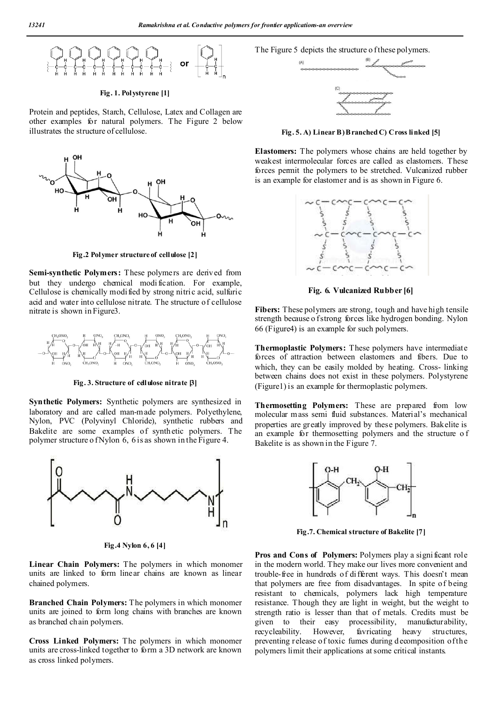

#### **Fig. 1. Polystyrene [1]**

Protein and peptides, Starch, Cellulose, Latex and Collagen are other examples for natural polymers. The Figure 2 below illustrates the structure of cellulose.



**Fig.2 Polymer structure of cellulose [2]**

**Semi-synthetic Polymers:** These polymers are derived from but they undergo chemical modi fication. For example, Cellulose is chemically modified by strong nitric acid, sulfuric acid and water into cellulose nitrate. The structure of cellulose nitrate is shown in Figure3.



**Fig. 3. Structure of cellulose nitrate [3]**

**Synthetic Polymers:** Synthetic polymers are synthesized in laboratory and are called man-made polymers. Polyethylene, Nylon, PVC (Polyvinyl Chloride), synthetic rubbers and Bakelite are some examples of synth etic polymers. The polymer structure o fNylon 6, 6 is as shown in the Figure 4.



**Fig.4 Nylon 6, 6 [4]**

**Linear Chain Polymers:** The polymers in which monomer units are linked to form linear chains are known as linear chained polymers.

**Branched Chain Polymers:** The polymers in which monomer units are joined to form long chains with branches are known as branched chain polymers.

**Cross Linked Polymers:** The polymers in which monomer units are cross-linked together to form a 3D network are known as cross linked polymers.

The Figure 5 depicts the structure o f these polymers.



**Fig. 5. A) Linear B) Branched C) Cross linked [5]**

**Elastomers:** The polymers whose chains are held together by weakest intermolecular forces are called as elastomers. These forces permit the polymers to be stretched. Vulcanized rubber is an example for elastomer and is as shown in Figure 6.



**Fig. 6. Vulcanized Rubber [6]**

Fibers: These polymers are strong, tough and have high tensile strength because o f strong forces like hydrogen bonding. Nylon 66 (Figure4) is an example for such polymers.

**Thermoplastic Polymers:** These polymers have intermediate forces of attraction between elastomers and fibers. Due to which, they can be easily molded by heating. Cross- linking between chains does not exist in these polymers. Polystyrene (Figure1) is an example for thermoplastic polymers.

Thermosetting Polymers: These are prepared from low molecular mass semi fluid substances. Material's mechanical properties are greatly improved by these polymers. Bakelite is an example for thermosetting polymers and the structure o f Bakelite is as shown in the Figure 7.



**Fig.7. Chemical structure of Bakelite [7]**

Pros and Cons of Polymers: Polymers play a significant role in the modern world. They make our lives more convenient and trouble-free in hundreds of different ways. This doesn't mean that polymers are free from disadvantages. In spite of being resistant to chemicals, polymers lack high temperature resistance. Though they are light in weight, but the weight to strength ratio is lesser than that of metals. Credits must be given to their easy processibility, manufacturability, recycleability. However, favricating heavy structures, preventing release of toxic fumes during d ecomposition of the polymers limit their applications at some critical instants.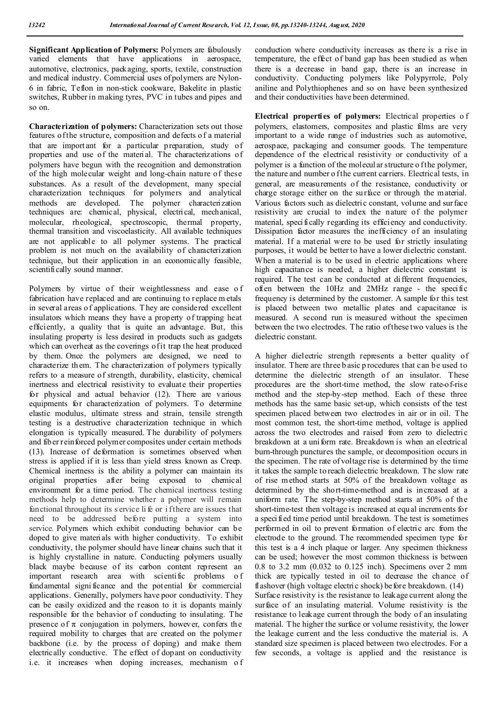**Significant Application of Polymers:** Polymers are fabulously varied elements that have applications in aerospace, automotive, electronics, packaging, sports, textile, construction and medical industry. Commercial uses of polymers are Nylon-6 in fabric, Teflon in non-stick cookware, Bakelite in plastic switches, Rubber in making tyres, PVC in tubes and pipes and so on.

**Characterization of polymers:** Characterization sets out those features of the structure, composition and defects o f a material that are import ant for a particular preparation, study of properties and use of the material. The characterizations of polymers have begun with the recognition and demonstration of the high molecular weight and long-chain nature of these substances. As a result of the development, many special characterization techniques for polymers and analytical methods are developed. The polymer characterization techniques are: chemical, physical, electrical, mechanical, molecular, rheological, spectroscopic, thermal property, thermal transition and viscoelasticity. All available techniques are not applicable to all polymer systems. The practical problem is not much on the availability of characterization technique, but their application in an economically feasible, scientifically sound manner.

Polymers by virtue of their weightlessness and ease of fabrication have replaced and are continuing to replace m etals in several areas o f applications. T hey are considered excellent insulators which means they have a property of trapping heat efficiently, a quality that is quite an advantage. But, this insulating property is less desired in products such as gadgets which can overheat as the coverings of it trap the heat produced by them. Once the polymers are designed, we need to characterize them. The characterization of polymers typically refers to a measure of strength, durability, elasticity, chemical inertness and electrical resistivity to evaluate their properties for physical and actual behavior (12). There are various equipments for characterization of polymers. To determine elastic modulus, ultimate stress and strain, tensile strength testing is a destructive characterization technique in which elongation is typically measured. The durability of polymers and fiber reinforced polymer composites under certain methods (13). Increase of deformation is sometimes observed when stress is applied if it is less than yield stress known as Creep. Chemical inertness is the ability a polymer can maintain its original properties after being exposed to chemical environment for a time period. The chemical inertness testing methods help to determine whether a polymer will remain functional throughout its s ervice li fe or i f there are issues that need to be addressed before putting a system into service. Polymers which exhibit conducting behavior can be doped to give materials with higher conductivity. To exhibit conductivity, the polymer should have linear chains such that it is highly crystalline in nature. Conducting polymers usually black maybe because of its carbon content represent an important research area with scientific problems o f fundamental signi ficance and the potential for commercial applications. Generally, polymers have poor conductivity. They can be easily oxidized and the reason to it is dopants mainly responsible for the behavior of conducting to insulating. The presence of  $\pi$  conjugation in polymers, however, confers the required mobility to charges that are created on the polymer backbone (i.e. by the process of doping) and make them electrically conductive. The effect of dopant on conductivity i.e. it increases when doping increases, mechanism of

conduction where conductivity increases as there is a rise in temperature, the effect of band gap has been studied as when there is a decrease in band gap, there is an increase in conductivity. Conducting polymers like Polypyrrole, Poly aniline and Polythiophenes and so on have been synthesized and their conductivities have been determined.

**Electrical properties of polymers:** Electrical properties o f polymers, elastomers, composites and plastic films are very important to a wide range of industries such as automotive, aerospace, packaging and consumer goods. The temperature dependence of the electrical resistivity or conductivity of a polymer is a function of the molecular structure o f the polymer, the nature and number o f the current carriers. Electrical tests, in general, are measurements of the resistance, conductivity or charge storage either on the surface or through the material. Various factors such as dielectric constant, volume and surface resistivity are crucial to index the nature of the polymer material, specifically regarding its efficiency and conductivity. Dissipation factor measures the inefficiency of an insulating material. If a material were to be used for strictly insulating purposes, it would be better to have a lower dielectric constant. When a material is to be used in electric applications where high capacitance is needed, a higher dielectric constant is required. The test can be conducted at different frequencies, often between the 10Hz and 2MHz range - the specific frequency is determined by the customer. A sample for this test is placed between two metallic plates and capacitance is measured. A second run is measured without the specimen between the two electrodes. The ratio of these two values is the dielectric constant.

A higher dielectric strength represents a better quality of insulator. There are three b asic p rocedures that can be used to determine the dielectric strength of an insulator. These procedures are the short-time method, the slow rate-of-rise method and the step-by-step method. Each of these three methods has the same basic set-up, which consists of the test specimen placed between two electrodes in air or in oil. The most common test, the short-time method, voltage is applied across the two electrodes and raised from zero to dielectric breakdown at a uni form rate. Breakdown is when an electrical burn-through punctures the sample, or decomposition occurs in the specimen. The rate of voltage rise is determined by the time it takes the sample to reach dielectric breakdown. The slow rate of rise method starts at 50% of the breakdown voltage as determined by the short-time-method and is increased at a uniform rate. The step-by-step method starts at 50% of the short-time-test then voltage is increased at equal increments for a specified time period until breakdown. The test is sometimes performed in oil to prevent formation of electric arc from the electrode to the ground. The recommended specimen type for this test is a 4 inch plaque or larger. Any specimen thickness can be used; however the most common thickness is between 0.8 to 3.2 mm (0.032 to 0.125 inch). Specimens over 2 mm thick are typically tested in oil to decrease the chance of flashover (high voltage electric shock) before breakdown. (14) Surface resistivity is the resistance to leakage current along the surface of an insulating material. Volume resistivity is the resistance to leakage current through the body of an insulating material. The higher the surface or volume resistivity, the lower the leakage current and the less conductive the material is. A standard size specimen is placed between two electrodes. For a few seconds, a voltage is applied and the resistance is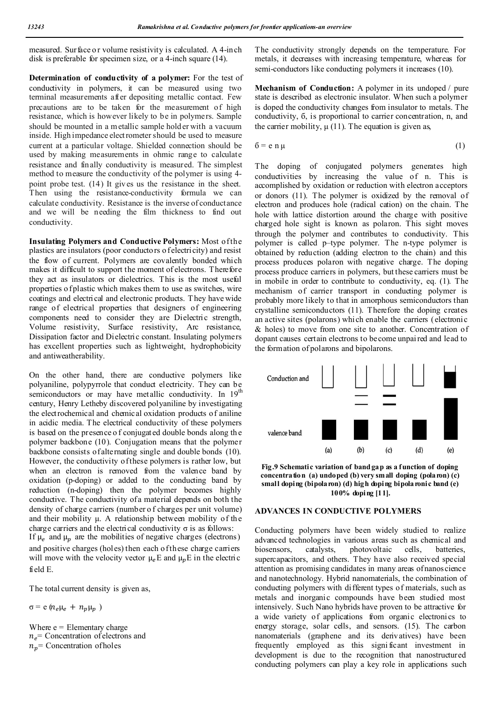measured. Surface or volume resistivity is calculated. A 4-inch disk is preferable for specimen size, or a 4-inch square (14).

**Determination of conductivity of a polymer:** For the test of conductivity in polymers, it can be measured using two terminal measurements after depositing metallic contact. Few precautions are to be taken for the measurement of high resistance, which is however likely to be in polymers. Sample should be mounted in a m etallic sample hold er with a vacuum inside. High impedance electrometer should be used to measure current at a particular voltage. Shielded connection should be used by making measurements in ohmic range to calculate resistance and finally conductivity is measured. The simplest method to measure the conductivity of the polymer is using 4 point probe test. (14) It gives us the resistance in the sheet. Then using the resistance-conductivity formula we can calculate conductivity. Resistance is the inverse of conductance and we will be needing the film thickness to find out conductivity.

**Insulating Polymers and Conductive Polymers:** Most of the plastics are insulators (poor conductors o f electricity) and resist the flow of current. Polymers are covalently bonded which makes it difficult to support the moment of electrons. Therefore they act as insulators or dielectrics. This is the most useful properties o f plastic which makes them to use as switches, wire coatings and electrical and electronic products. T hey have wide range of electrical properties that designers of engineering components need to consider they are Dielectric strength, Volume resistivity, Surface resistivity, Arc resistance, Dissipation factor and Dielectric constant. Insulating polymers has excellent properties such as lightweight, hydrophobicity and antiweatherability.

On the other hand, there are conductive polymers like polyaniline, polypyrrole that conduct electricity. They can be semiconductors or may have metallic conductivity. In 19<sup>th</sup> century, Henry Letheby discovered polyaniline by investigating the electrochemical and chemical oxidation products of aniline in acidic media. The electrical conductivity of these polymers is based on the presence o f conjugated double bonds along th e polymer backbone (10). Conjugation means that the polymer backbone consists of alternating single and double bonds (10). However, the conductivity of these polymers is rather low, but when an electron is removed from the valence band by oxidation (p-doping) or added to the conducting band by reduction (n-doping) then the polymer becomes highly conductive. The conductivity of a material depends on both the density of charge carriers (number o f charges per unit volume) and their mobility μ. A relationship between mobility of the charge carriers and the electrical conductivity  $\sigma$  is as follows:

If  $\mu_e$  and  $\mu_p$  are the mobilities of negative charges (electrons) and positive charges (holes) then each of these charge carriers will move with the velocity vector  $\mu_e$ E and  $\mu_n$ E in the electric field E.

The total current density is given as,

 $\sigma = e (n_e \mu_e + n_p \mu_p)$ 

Where  $e =$  Elementary charge  $n_e$  Concentration of electrons and  $n_p$  = Concentration of holes

The conductivity strongly depends on the temperature. For metals, it decreases with increasing temperature, whereas for semi-conductors like conducting polymers it increases (10).

**Mechanism of Conduction:** A polymer in its undoped / pure state is described as electronic insulator. When such a polymer is doped the conductivity changes from insulator to metals. The conductivity, б, is proportional to carrier concentration, n, and the carrier mobility,  $\mu$  (11). The equation is given as,

$$
6 = e \cdot n \mu \tag{1}
$$

The doping of conjugated polymers generates high conductivities by increasing the value of n. This is accomplished by oxidation or reduction with electron acceptors or donors (11). The polymer is oxidized by the removal of electron and produces hole (radical cation) on the chain. The hole with lattice distortion around the charge with positive charged hole sight is known as polaron. This sight moves through the polymer and contributes to conductivity. This polymer is called p–type polymer. The n-type polymer is obtained by reduction (adding electron to the chain) and this process produces polaron with negative charge. The doping process produce carriers in polymers, but these carriers must be in mobile in order to contribute to conductivity, eq. (1). The mechanism of carrier transport in conducting polymer is probably more likely to that in amorphous semiconductors than crystalline semiconductors (11). Therefore the doping creates an active sites (polarons) which enable the carriers (electronic & holes) to move from one site to another. Concentration of dopant causes certain electrons to become unpai red and lead to the formation of polarons and bipolarons.



**Fig.9 Schematic variation of band gap as a function of doping concentration (a) undoped (b) very small doping (polaron) (c) small doping (bipolaron) (d) high doping bipolaronic band (e) 100% doping [11].**

### **ADVANCES IN CONDUCTIVE POLYMERS**

Conducting polymers have been widely studied to realize advanced technologies in various areas such as chemical and biosensors, catalysts, photovoltaic cells, batteries, supercapacitors, and others. They have also received special attention as promising candidates in many areas of nanoscience and nanotechnology. Hybrid nanomaterials, the combination of conducting polymers with different types of materials, such as metals and inorganic compounds have been studied most intensively. Such Nano hybrids have proven to be attractive for a wide variety of applications from organic electronics to energy storage, solar cells, and sensors. (15). The carbon nanomaterials (graphene and its derivatives) have been frequently employed as this signi ficant investment in development is due to the recognition that nanostructured conducting polymers can play a key role in applications such